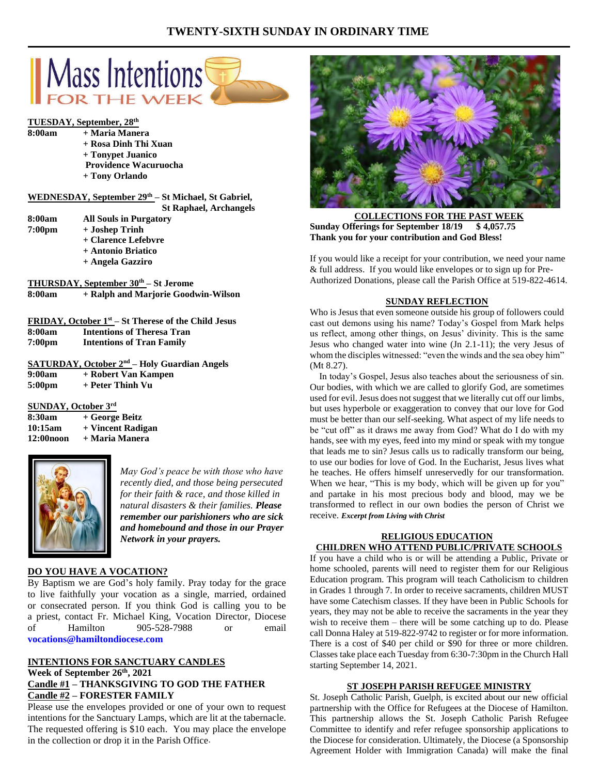# **TWENTY-SIXTH SUNDAY IN ORDINARY TIME**



### **TUESDAY, September, 28th**

- **8:00am + Maria Manera**
	- **+ Rosa Dinh Thi Xuan**
	- **+ Tonypet Juanico Providence Wacuruocha**
	- **+ Tony Orlando**
	-

# **WEDNESDAY, September 29th – St Michael, St Gabriel,**

 **St Raphael, Archangels 8:00am All Souls in Purgatory**

- **7:00pm + Joshep Trinh**
	- **+ Clarence Lefebvre**
	- **+ Antonio Briatico**
	- **+ Angela Gazziro**

| THURSDAY, September $30th - St$ Jerome |                                     |
|----------------------------------------|-------------------------------------|
| 8:00am                                 | + Ralph and Marjorie Goodwin-Wilson |

|                    | <b>FRIDAY, October 1st</b> – St Therese of the Child Jesus |
|--------------------|------------------------------------------------------------|
| 8:00am             | <b>Intentions of Theresa Tran</b>                          |
| 7:00 <sub>pm</sub> | <b>Intentions of Tran Family</b>                           |

**SATURDAY, October 2nd – Holy Guardian Angels 9:00am + Robert Van Kampen**

**5:00pm + Peter Thinh Vu**

# **SUNDAY, October 3rd**

| 8:30am    | + George Beitz    |
|-----------|-------------------|
| 10:15am   | + Vincent Radigan |
| 12:00noon | + Maria Manera    |



*May God's peace be with those who have recently died, and those being persecuted for their faith & race, and those killed in natural disasters & their families. Please remember our parishioners who are sick and homebound and those in our Prayer Network in your prayers.*

# **DO YOU HAVE A VOCATION?**

By Baptism we are God's holy family. Pray today for the grace to live faithfully your vocation as a single, married, ordained or consecrated person. If you think God is calling you to be a priest, contact Fr. Michael King, Vocation Director, Diocese of Hamilton 905-528-7988 or email **vocations@hamiltondiocese.com** 

### **INTENTIONS FOR SANCTUARY CANDLES Week of September 26th, 2021 Candle #1 – THANKSGIVING TO GOD THE FATHER Candle #2 – FORESTER FAMILY**

Please use the envelopes provided or one of your own to request intentions for the Sanctuary Lamps, which are lit at the tabernacle. The requested offering is \$10 each. You may place the envelope in the collection or drop it in the Parish Office.



**COLLECTIONS FOR THE PAST WEEK Sunday Offerings for September 18/19 \$ 4,057.75 Thank you for your contribution and God Bless!**

If you would like a receipt for your contribution, we need your name & full address. If you would like envelopes or to sign up for Pre-Authorized Donations, please call the Parish Office at 519-822-4614.

# **SUNDAY REFLECTION**

Who is Jesus that even someone outside his group of followers could cast out demons using his name? Today's Gospel from Mark helps us reflect, among other things, on Jesus' divinity. This is the same Jesus who changed water into wine (Jn 2.1-11); the very Jesus of whom the disciples witnessed: "even the winds and the sea obey him" (Mt 8.27).

 In today's Gospel, Jesus also teaches about the seriousness of sin. Our bodies, with which we are called to glorify God, are sometimes used for evil. Jesus does not suggest that we literally cut off our limbs, but uses hyperbole or exaggeration to convey that our love for God must be better than our self-seeking. What aspect of my life needs to be "cut off" as it draws me away from God? What do I do with my hands, see with my eyes, feed into my mind or speak with my tongue that leads me to sin? Jesus calls us to radically transform our being, to use our bodies for love of God. In the Eucharist, Jesus lives what he teaches. He offers himself unreservedly for our transformation. When we hear, "This is my body, which will be given up for you" and partake in his most precious body and blood, may we be transformed to reflect in our own bodies the person of Christ we receive. *Excerpt from Living with Christ*

### **RELIGIOUS EDUCATION CHILDREN WHO ATTEND PUBLIC/PRIVATE SCHOOLS**

If you have a child who is or will be attending a Public, Private or home schooled, parents will need to register them for our Religious Education program. This program will teach Catholicism to children in Grades 1 through 7. In order to receive sacraments, children MUST have some Catechism classes. If they have been in Public Schools for years, they may not be able to receive the sacraments in the year they wish to receive them – there will be some catching up to do. Please call Donna Haley at 519-822-9742 to register or for more information. There is a cost of \$40 per child or \$90 for three or more children. Classes take place each Tuesday from 6:30-7:30pm in the Church Hall starting September 14, 2021.

### **ST JOSEPH PARISH REFUGEE MINISTRY**

St. Joseph Catholic Parish, Guelph, is excited about our new official partnership with the Office for Refugees at the Diocese of Hamilton. This partnership allows the St. Joseph Catholic Parish Refugee Committee to identify and refer refugee sponsorship applications to the Diocese for consideration. Ultimately, the Diocese (a Sponsorship Agreement Holder with Immigration Canada) will make the final